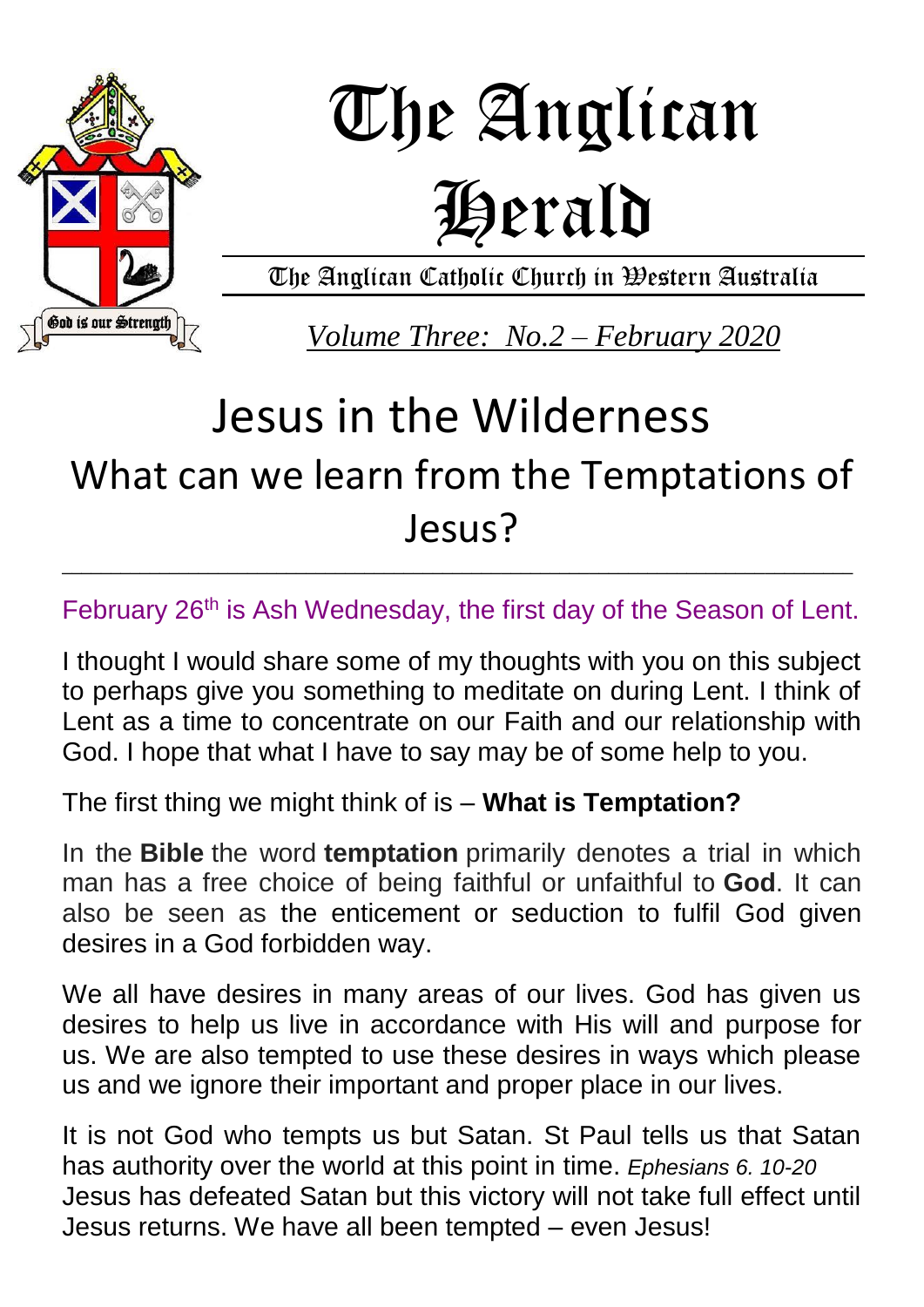

# The Anglican Herald

The Anglican Catholic Church in Western Australia

*Volume Three: No.2 – February 2020*

## Jesus in the Wilderness What can we learn from the Temptations of Jesus?

February 26<sup>th</sup> is Ash Wednesday, the first day of the Season of Lent.

\_\_\_\_\_\_\_\_\_\_\_\_\_\_\_\_\_\_\_\_\_\_\_\_\_\_\_\_\_\_\_\_\_\_\_\_\_\_\_\_\_\_\_\_\_\_\_\_\_\_\_\_\_\_\_\_\_\_\_\_\_\_\_\_\_\_\_\_\_\_\_\_\_\_\_\_\_\_\_\_\_

I thought I would share some of my thoughts with you on this subject to perhaps give you something to meditate on during Lent. I think of Lent as a time to concentrate on our Faith and our relationship with God. I hope that what I have to say may be of some help to you.

The first thing we might think of is – **What is Temptation?**

In the **Bible** the word **temptation** primarily denotes a trial in which man has a free choice of being faithful or unfaithful to **God**. It can also be seen as the enticement or seduction to fulfil God given desires in a God forbidden way.

We all have desires in many areas of our lives. God has given us desires to help us live in accordance with His will and purpose for us. We are also tempted to use these desires in ways which please us and we ignore their important and proper place in our lives.

It is not God who tempts us but Satan. St Paul tells us that Satan has authority over the world at this point in time. *Ephesians 6. 10-20* Jesus has defeated Satan but this victory will not take full effect until Jesus returns. We have all been tempted – even Jesus!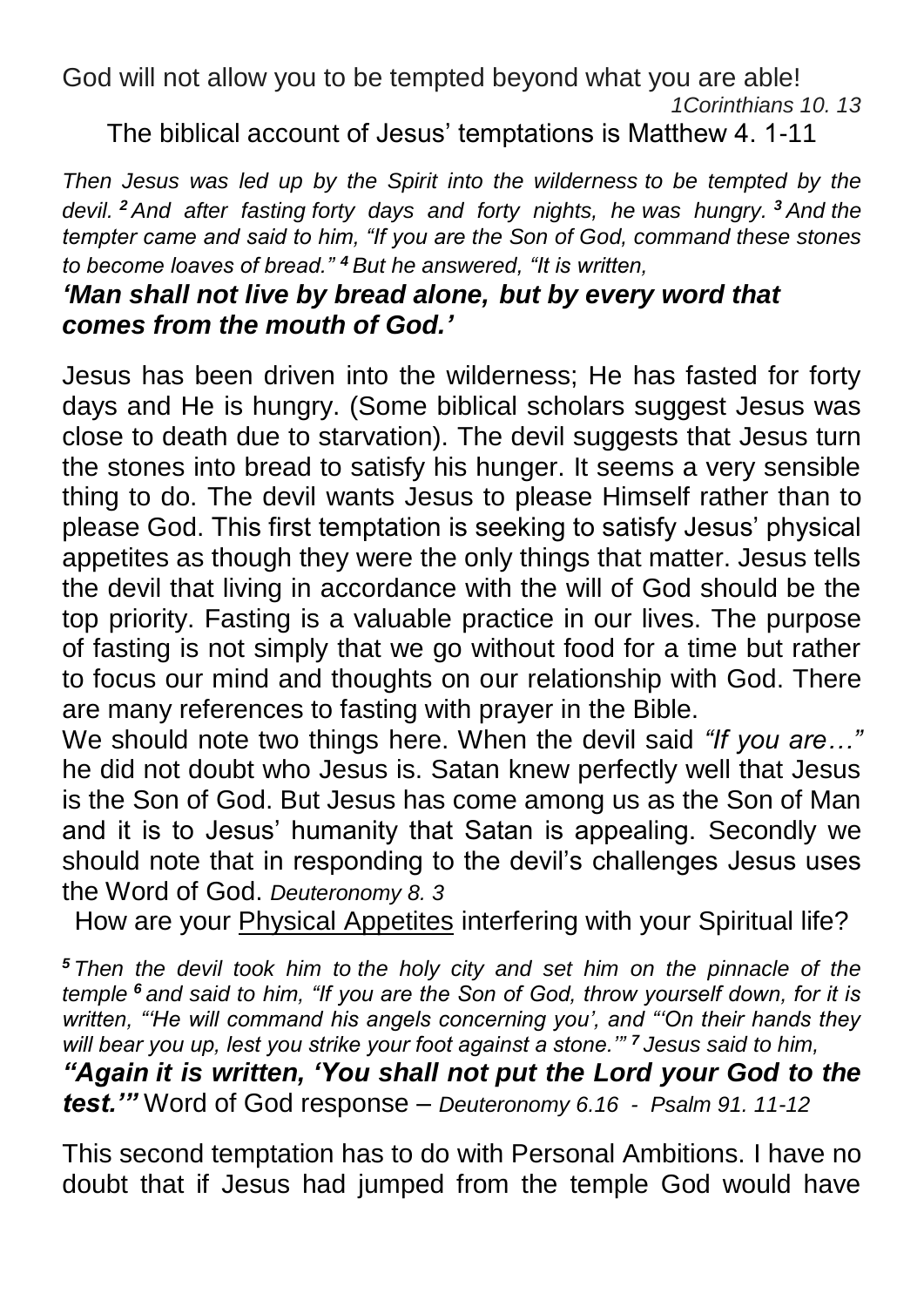God will not allow you to be tempted beyond what you are able!

*1Corinthians 10. 13*

The biblical account of Jesus' temptations is Matthew 4. 1-11

*Then Jesus was led up by the Spirit into the wilderness to be tempted by the devil. <sup>2</sup> And after fasting forty days and forty nights, he was hungry. <sup>3</sup> And the tempter came and said to him, "If you are the Son of God, command these stones to become loaves of bread." <sup>4</sup> But he answered, "It is written,*

#### *'Man shall not live by bread alone, but by every word that comes from the mouth of God.'*

Jesus has been driven into the wilderness; He has fasted for forty days and He is hungry. (Some biblical scholars suggest Jesus was close to death due to starvation). The devil suggests that Jesus turn the stones into bread to satisfy his hunger. It seems a very sensible thing to do. The devil wants Jesus to please Himself rather than to please God. This first temptation is seeking to satisfy Jesus' physical appetites as though they were the only things that matter. Jesus tells the devil that living in accordance with the will of God should be the top priority. Fasting is a valuable practice in our lives. The purpose of fasting is not simply that we go without food for a time but rather to focus our mind and thoughts on our relationship with God. There are many references to fasting with prayer in the Bible.

We should note two things here. When the devil said *"If you are…"* he did not doubt who Jesus is. Satan knew perfectly well that Jesus is the Son of God. But Jesus has come among us as the Son of Man and it is to Jesus' humanity that Satan is appealing. Secondly we should note that in responding to the devil's challenges Jesus uses the Word of God. *Deuteronomy 8. 3*

How are your Physical Appetites interfering with your Spiritual life?

*<sup>5</sup> Then the devil took him to the holy city and set him on the pinnacle of the temple <sup>6</sup> and said to him, "If you are the Son of God, throw yourself down, for it is written, "'He will command his angels concerning you', and "'On their hands they will bear you up, lest you strike your foot against a stone.'" <sup>7</sup> Jesus said to him,*

*"Again it is written, 'You shall not put the Lord your God to the test.'"* Word of God response – *Deuteronomy 6.16 - Psalm 91. 11-12*

This second temptation has to do with Personal Ambitions. I have no doubt that if Jesus had jumped from the temple God would have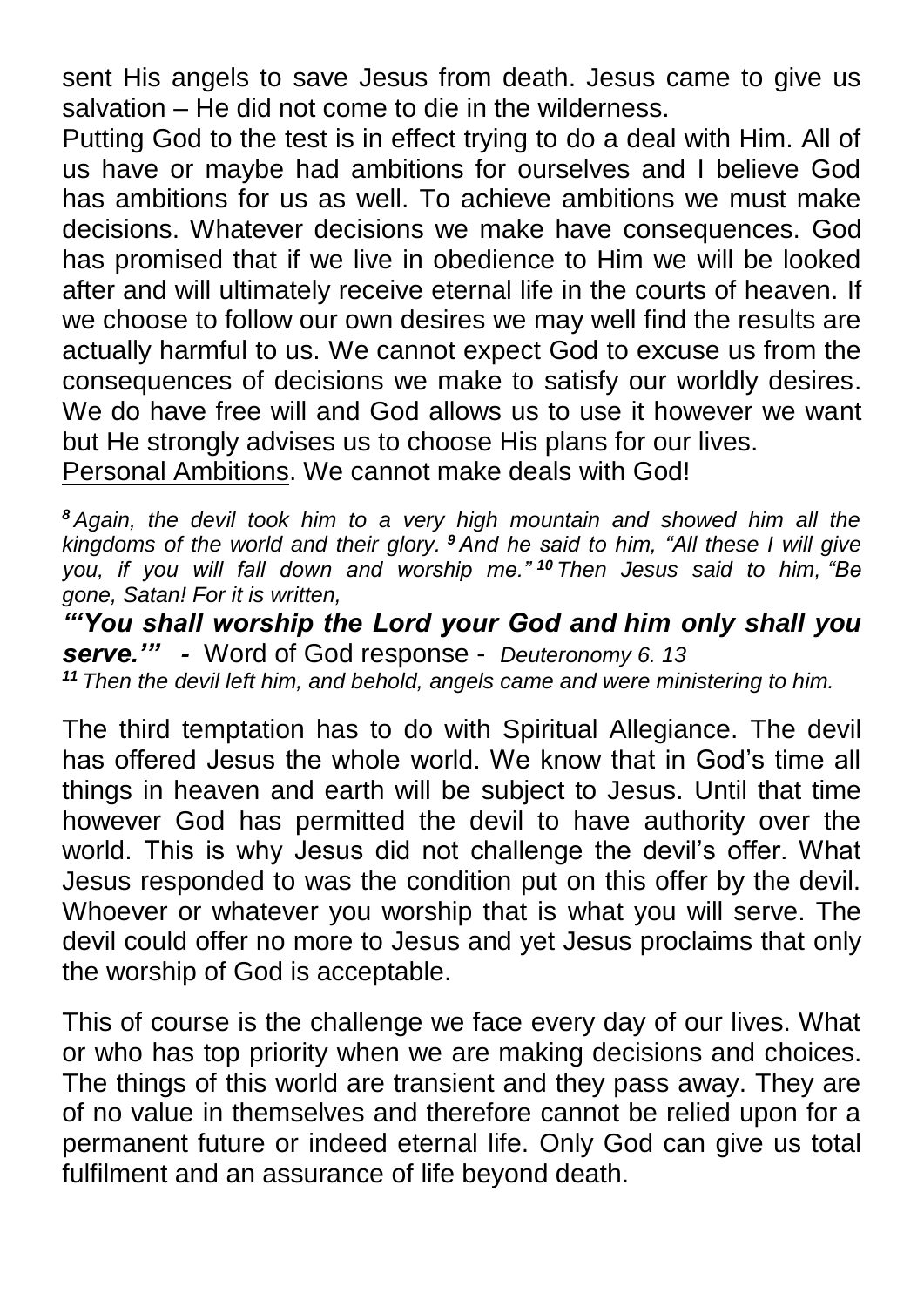sent His angels to save Jesus from death. Jesus came to give us salvation – He did not come to die in the wilderness.

Putting God to the test is in effect trying to do a deal with Him. All of us have or maybe had ambitions for ourselves and I believe God has ambitions for us as well. To achieve ambitions we must make decisions. Whatever decisions we make have consequences. God has promised that if we live in obedience to Him we will be looked after and will ultimately receive eternal life in the courts of heaven. If we choose to follow our own desires we may well find the results are actually harmful to us. We cannot expect God to excuse us from the consequences of decisions we make to satisfy our worldly desires. We do have free will and God allows us to use it however we want but He strongly advises us to choose His plans for our lives. Personal Ambitions. We cannot make deals with God!

*<sup>8</sup> Again, the devil took him to a very high mountain and showed him all the* 

*kingdoms of the world and their glory. <sup>9</sup> And he said to him, "All these I will give you, if you will fall down and worship me." <sup>10</sup> Then Jesus said to him, "Be gone, Satan! For it is written,*

*"'You shall worship the Lord your God and him only shall you serve.'" -* Word of God response - *Deuteronomy 6. 13 <sup>11</sup> Then the devil left him, and behold, angels came and were ministering to him.*

The third temptation has to do with Spiritual Allegiance. The devil has offered Jesus the whole world. We know that in God's time all things in heaven and earth will be subject to Jesus. Until that time however God has permitted the devil to have authority over the world. This is why Jesus did not challenge the devil's offer. What Jesus responded to was the condition put on this offer by the devil. Whoever or whatever you worship that is what you will serve. The devil could offer no more to Jesus and yet Jesus proclaims that only the worship of God is acceptable.

This of course is the challenge we face every day of our lives. What or who has top priority when we are making decisions and choices. The things of this world are transient and they pass away. They are of no value in themselves and therefore cannot be relied upon for a permanent future or indeed eternal life. Only God can give us total fulfilment and an assurance of life beyond death.